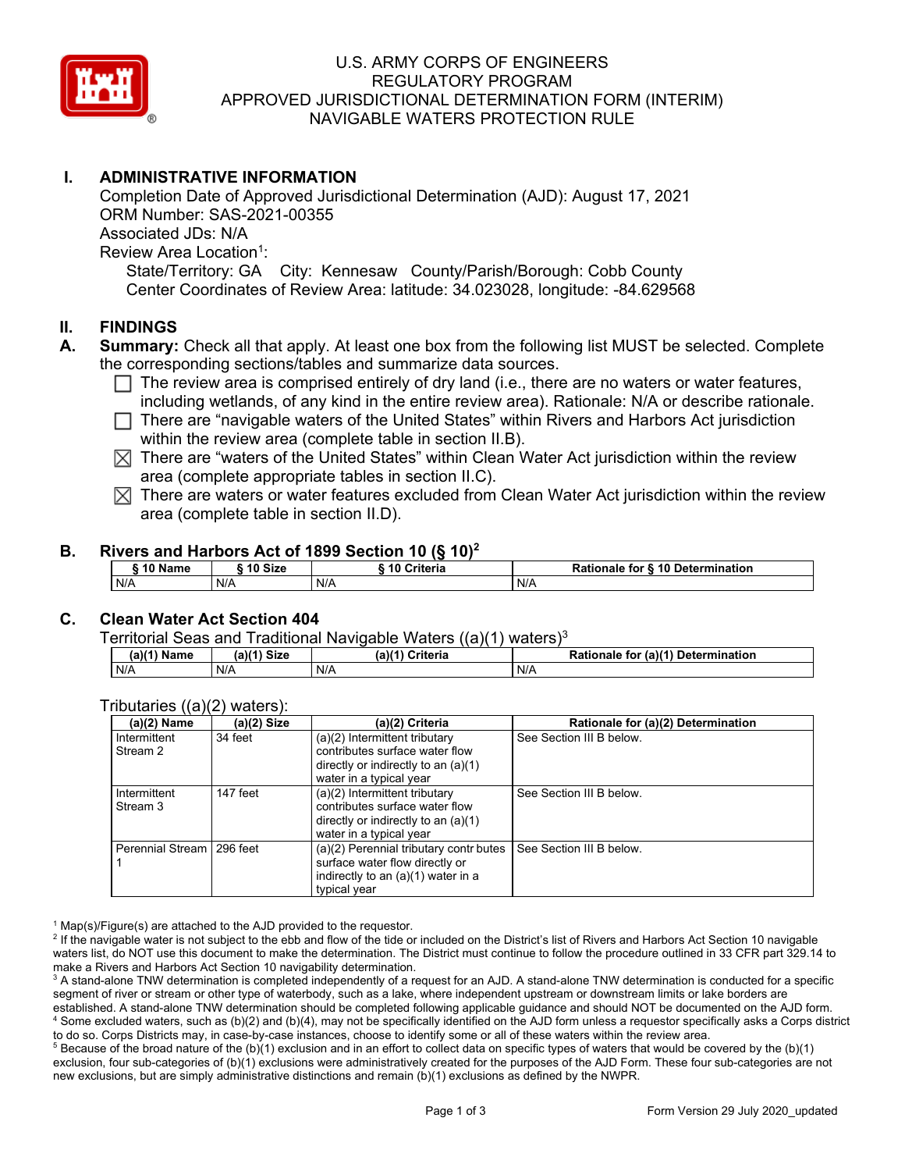

# U.S. ARMY CORPS OF ENGINEERS REGULATORY PROGRAM APPROVED JURISDICTIONAL DETERMINATION FORM (INTERIM) NAVIGABLE WATERS PROTECTION RULE

# **I. ADMINISTRATIVE INFORMATION**

 State/Territory: GA City: Kennesaw County/Parish/Borough: Cobb County Center Coordinates of Review Area: latitude: 34.023028, longitude: -84.629568 Completion Date of Approved Jurisdictional Determination (AJD): August 17, 2021 ORM Number: SAS-2021-00355 Associated JDs: N/A Review Area Location<sup>1</sup>:

## **II. FINDINGS**

- **A. Summary:** Check all that apply. At least one box from the following list MUST be selected. Complete the corresponding sections/tables and summarize data sources.
	- $\Box$  The review area is comprised entirely of dry land (i.e., there are no waters or water features, including wetlands, of any kind in the entire review area). Detianals  $M/\sqrt{a}$  at describe rationals including wetlands, of any kind in the entire review area). Rationale: N/A or describe rationale.
	- □ There are "navigable waters of the United States" within Rivers and Harbors Act jurisdiction within the review area (complete table in section II.B).
	- $\boxtimes$  There are "waters of the United States" within Clean Water Act jurisdiction within the review area (complete appropriate tables in section II.C).
	- $\boxtimes$  There are waters or water features excluded from Clean Water Act jurisdiction within the review area (complete table in section II.D).

#### **B. Rivers and Harbors Act of 1899 Section 10 (§ 10)<sup>2</sup>**

| <b>S10 Name</b> |     | ົ <sup>1</sup> 0 Size | Criteria<br>10 | Rationale for § 10 Determination |  |
|-----------------|-----|-----------------------|----------------|----------------------------------|--|
| N/A             | N/A |                       | N/A            | N/A                              |  |

### **C. Clean Water Act Section 404**

| T <u>erritorial Seas and Traditional Navigable Waters ((a)(1)</u> waters) $^3$ |  |
|--------------------------------------------------------------------------------|--|
|--------------------------------------------------------------------------------|--|

| $(a)(1)$ Name | $(a)(1)$ Size | $(a)$ $(4)$<br><b>Criteria</b> | for (a)(1) Determination<br>Rationale |
|---------------|---------------|--------------------------------|---------------------------------------|
| N/A           | N/A           | N/A                            | N/f                                   |

| $(a)(2)$ Name               | (a)(2) Size | (a)(2) Criteria                        | Rationale for (a)(2) Determination |
|-----------------------------|-------------|----------------------------------------|------------------------------------|
| Intermittent                | 34 feet     | (a)(2) Intermittent tributary          | See Section III B below.           |
| Stream 2                    |             | contributes surface water flow         |                                    |
|                             |             | directly or indirectly to an $(a)(1)$  |                                    |
|                             |             | water in a typical year                |                                    |
| Intermittent                | 147 feet    | (a)(2) Intermittent tributary          | See Section III B below.           |
| Stream 3                    |             | contributes surface water flow         |                                    |
|                             |             | directly or indirectly to an $(a)(1)$  |                                    |
|                             |             | water in a typical year                |                                    |
| Perennial Stream   296 feet |             | (a)(2) Perennial tributary contr butes | See Section III B below.           |
|                             |             | surface water flow directly or         |                                    |
|                             |             | indirectly to an (a)(1) water in a     |                                    |
|                             |             | typical year                           |                                    |

#### Tributaries ((a)(2) waters):

 $1$  Map(s)/Figure(s) are attached to the AJD provided to the requestor.

<sup>2</sup> If the navigable water is not subject to the ebb and flow of the tide or included on the District's list of Rivers and Harbors Act Section 10 navigable waters list, do NOT use this document to make the determination. The District must continue to follow the procedure outlined in 33 CFR part 329.14 to make a Rivers and Harbors Act Section 10 navigability determination.

 $^3$  A stand-alone TNW determination is completed independently of a request for an AJD. A stand-alone TNW determination is conducted for a specific segment of river or stream or other type of waterbody, such as a lake, where independent upstream or downstream limits or lake borders are established. A stand-alone TNW determination should be completed following applicable guidance and should NOT be documented on the AJD form. 4 Some excluded waters, such as (b)(2) and (b)(4), may not be specifically identified on the AJD form unless a requestor specifically asks a Corps district to do so. Corps Districts may, in case-by-case instances, choose to identify some or all of these waters within the review area.

 $^5$  Because of the broad nature of the (b)(1) exclusion and in an effort to collect data on specific types of waters that would be covered by the (b)(1) exclusion, four sub-categories of (b)(1) exclusions were administratively created for the purposes of the AJD Form. These four sub-categories are not new exclusions, but are simply administrative distinctions and remain (b)(1) exclusions as defined by the NWPR.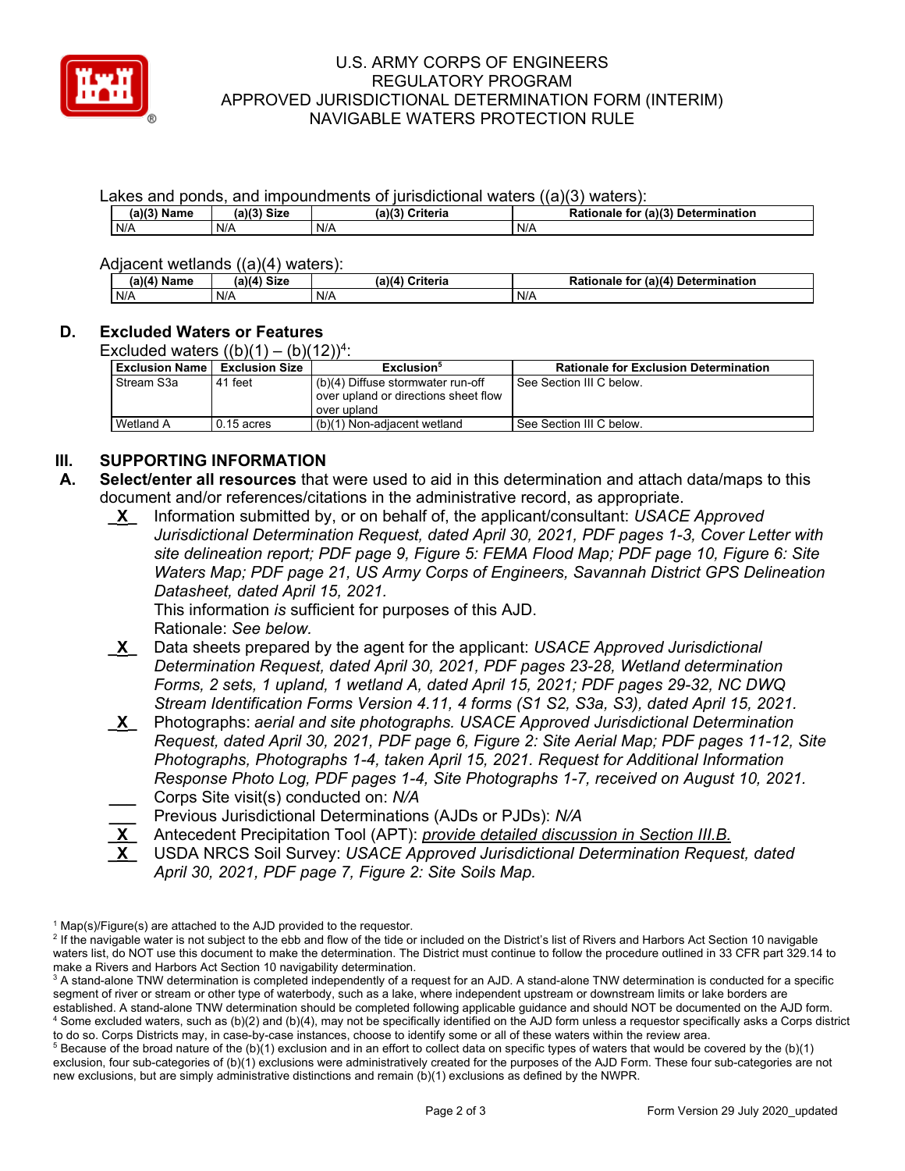

## U.S. ARMY CORPS OF ENGINEERS REGULATORY PROGRAM APPROVED JURISDICTIONAL DETERMINATION FORM (INTERIM) NAVIGABLE WATERS PROTECTION RULE

Lakes and ponds, and impoundments of jurisdictional waters ((a)(3) waters):

| $(a)(3)$ Name | <b>Size</b><br>$-1121$<br>.all- | (a)(3)<br>Criteria | for (a)(3) Determination<br>Rationale |
|---------------|---------------------------------|--------------------|---------------------------------------|
| N/A           | N/f                             | N/A                | N/A                                   |

Adjacent wetlands ((a)(4) waters):

|             | .<br>.         |                 |                                          |  |  |
|-------------|----------------|-----------------|------------------------------------------|--|--|
| (a)(4) Name | Size<br>(a)(4) | (a)(4) Criteria | (a)(4) Determination<br>Rationale<br>tor |  |  |
| N/A         | N/A            | N/A             | N/A                                      |  |  |

# **D. Excluded Waters or Features**

Excluded waters  $((b)(1) - (b)(12))^4$ :

| <b>Exclusion Name</b> | <b>Exclusion Size</b> | Exclusion <sup>5</sup>               | <b>Rationale for Exclusion Determination</b> |
|-----------------------|-----------------------|--------------------------------------|----------------------------------------------|
| Stream S3a            | 41 feet               | $(b)(4)$ Diffuse stormwater run-off  | See Section III C below.                     |
|                       |                       | over upland or directions sheet flow |                                              |
|                       |                       | over upland                          |                                              |
| Wetland A             | 0.15 acres            | (b)(1) Non-adiacent wetland          | See Section III C below.                     |

# **III. SUPPORTING INFORMATION**

- **A. Select/enter all resources** that were used to aid in this determination and attach data/maps to this document and/or references/citations in the administrative record, as appropriate.
	- **\_X\_** Information submitted by, or on behalf of, the applicant/consultant: *USACE Approved Jurisdictional Determination Request, dated April 30, 2021, PDF pages 1-3, Cover Letter with site delineation report; PDF page 9, Figure 5: FEMA Flood Map; PDF page 10, Figure 6: Site Waters Map; PDF page 21, US Army Corps of Engineers, Savannah District GPS Delineation Datasheet, dated April 15, 2021.*

This information *is* sufficient for purposes of this AJD. Rationale: *See below.* 

- **\_X\_** Data sheets prepared by the agent for the applicant: *USACE Approved Jurisdictional Determination Request, dated April 30, 2021, PDF pages 23-28, Wetland determination Forms, 2 sets, 1 upland, 1 wetland A, dated April 15, 2021; PDF pages 29-32, NC DWQ Stream Identification Forms Version 4.11, 4 forms (S1 S2, S3a, S3), dated April 15, 2021.*
- **\_X\_** Photographs: *aerial and site photographs. USACE Approved Jurisdictional Determination Request, dated April 30, 2021, PDF page 6, Figure 2: Site Aerial Map; PDF pages 11-12, Site Photographs, Photographs 1-4, taken April 15, 2021. Request for Additional Information Response Photo Log, PDF pages 1-4, Site Photographs 1-7, received on August 10, 2021.*  **\_\_\_** Corps Site visit(s) conducted on: *N/A*
- **\_\_\_** Previous Jurisdictional Determinations (AJDs or PJDs): *N/A*
- **\_X\_** Antecedent Precipitation Tool (APT): *provide detailed discussion in Section III.B.*
- **\_X\_** USDA NRCS Soil Survey: *USACE Approved Jurisdictional Determination Request, dated April 30, 2021, PDF page 7, Figure 2: Site Soils Map.*

 $1$  Map(s)/Figure(s) are attached to the AJD provided to the requestor.

<sup>&</sup>lt;sup>2</sup> If the navigable water is not subject to the ebb and flow of the tide or included on the District's list of Rivers and Harbors Act Section 10 navigable waters list, do NOT use this document to make the determination. The District must continue to follow the procedure outlined in 33 CFR part 329.14 to make a Rivers and Harbors Act Section 10 navigability determination.

 $^3$  A stand-alone TNW determination is completed independently of a request for an AJD. A stand-alone TNW determination is conducted for a specific segment of river or stream or other type of waterbody, such as a lake, where independent upstream or downstream limits or lake borders are established. A stand-alone TNW determination should be completed following applicable guidance and should NOT be documented on the AJD form. 4 Some excluded waters, such as (b)(2) and (b)(4), may not be specifically identified on the AJD form unless a requestor specifically asks a Corps district to do so. Corps Districts may, in case-by-case instances, choose to identify some or all of these waters within the review area.

 $^5$  Because of the broad nature of the (b)(1) exclusion and in an effort to collect data on specific types of waters that would be covered by the (b)(1) exclusion, four sub-categories of (b)(1) exclusions were administratively created for the purposes of the AJD Form. These four sub-categories are not new exclusions, but are simply administrative distinctions and remain (b)(1) exclusions as defined by the NWPR.